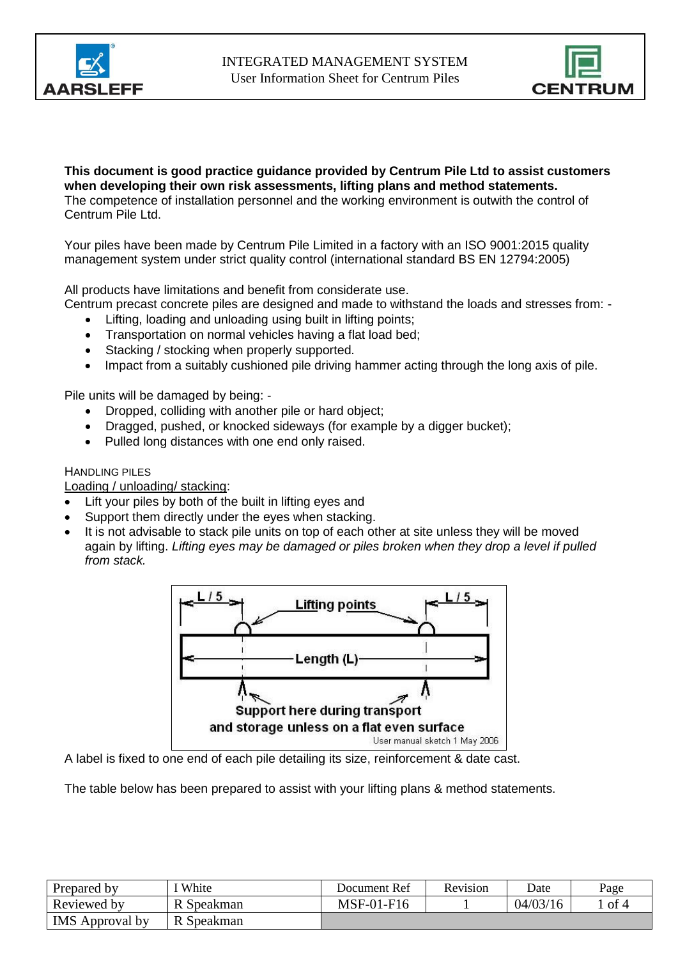



**This document is good practice guidance provided by Centrum Pile Ltd to assist customers when developing their own risk assessments, lifting plans and method statements.** The competence of installation personnel and the working environment is outwith the control of Centrum Pile Ltd.

Your piles have been made by Centrum Pile Limited in a factory with an ISO 9001:2015 quality management system under strict quality control (international standard BS EN 12794:2005)

All products have limitations and benefit from considerate use.

Centrum precast concrete piles are designed and made to withstand the loads and stresses from: -

- Lifting, loading and unloading using built in lifting points;
- Transportation on normal vehicles having a flat load bed;
- Stacking / stocking when properly supported.
- Impact from a suitably cushioned pile driving hammer acting through the long axis of pile.

Pile units will be damaged by being: -

- Dropped, colliding with another pile or hard object;
- Dragged, pushed, or knocked sideways (for example by a digger bucket);
- Pulled long distances with one end only raised.

## HANDLING PILES

Loading / unloading/ stacking:

- Lift your piles by both of the built in lifting eyes and
- Support them directly under the eyes when stacking.
- It is not advisable to stack pile units on top of each other at site unless they will be moved again by lifting. *Lifting eyes may be damaged or piles broken when they drop a level if pulled from stack.*



A label is fixed to one end of each pile detailing its size, reinforcement & date cast.

The table below has been prepared to assist with your lifting plans & method statements.

| Prepared by            | White      | Document Ref | <b>Revision</b> | Date     | Page |
|------------------------|------------|--------------|-----------------|----------|------|
| Reviewed by            | R Speakman | MSF-01-F16   |                 | 04/03/16 | of 4 |
| <b>IMS</b> Approval by | R Speakman |              |                 |          |      |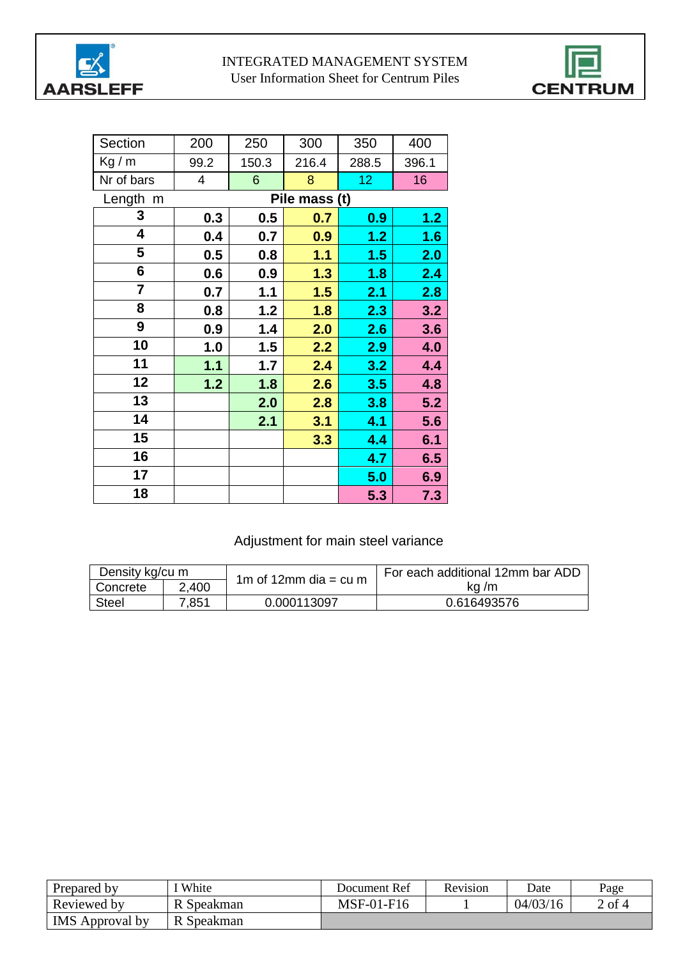



| Section    | 200                     | 250            | 300           | 350             | 400   |
|------------|-------------------------|----------------|---------------|-----------------|-------|
| Kg/m       | 99.2                    | 150.3          | 216.4         | 288.5           | 396.1 |
| Nr of bars | $\overline{\mathbf{4}}$ | $6\phantom{1}$ | 8             | 12 <sub>2</sub> | 16    |
| Length m   |                         |                | Pile mass (t) |                 |       |
| 3          | 0.3                     | 0.5            | 0.7           | 0.9             | 1.2   |
| 4          | 0.4                     | 0.7            | 0.9           | 1.2             | 1.6   |
| 5          | 0.5                     | 0.8            | 1.1           | 1.5             | 2.0   |
| 6          | 0.6                     | 0.9            | 1.3           | 1.8             | 2.4   |
| 7          | 0.7                     | 1.1            | 1.5           | 2.1             | 2.8   |
| 8          | 0.8                     | 1.2            | 1.8           | 2.3             | 3.2   |
| 9          | 0.9                     | 1.4            | 2.0           | 2.6             | 3.6   |
| 10         | 1.0                     | 1.5            | 2.2           | 2.9             | 4.0   |
| 11         | 1.1                     | 1.7            | 2.4           | 3.2             | 4.4   |
| 12         | 1.2                     | 1.8            | 2.6           | 3.5             | 4.8   |
| 13         |                         | 2.0            | 2.8           | 3.8             | 5.2   |
| 14         |                         | 2.1            | 3.1           | 4.1             | 5.6   |
| 15         |                         |                | 3.3           | 4.4             | 6.1   |
| 16         |                         |                |               | 4.7             | 6.5   |
| 17         |                         |                |               | 5.0             | 6.9   |
| 18         |                         |                |               | 5.3             | 7.3   |

# Adjustment for main steel variance

| Density kg/cu m |       | 1m of 12mm dia = cu m | For each additional 12mm bar ADD |  |
|-----------------|-------|-----------------------|----------------------------------|--|
| Concrete        | 2,400 |                       | ka /m                            |  |
| <b>Steel</b>    | 7,851 | 0.000113097           | 0.616493576                      |  |

| Prepared by            | White      | Document Ref | Revision | Date     | Page   |
|------------------------|------------|--------------|----------|----------|--------|
| Reviewed by            | R Speakman | MSF-01-F16   |          | 04/03/16 | 2 of 4 |
| <b>IMS</b> Approval by | R Speakman |              |          |          |        |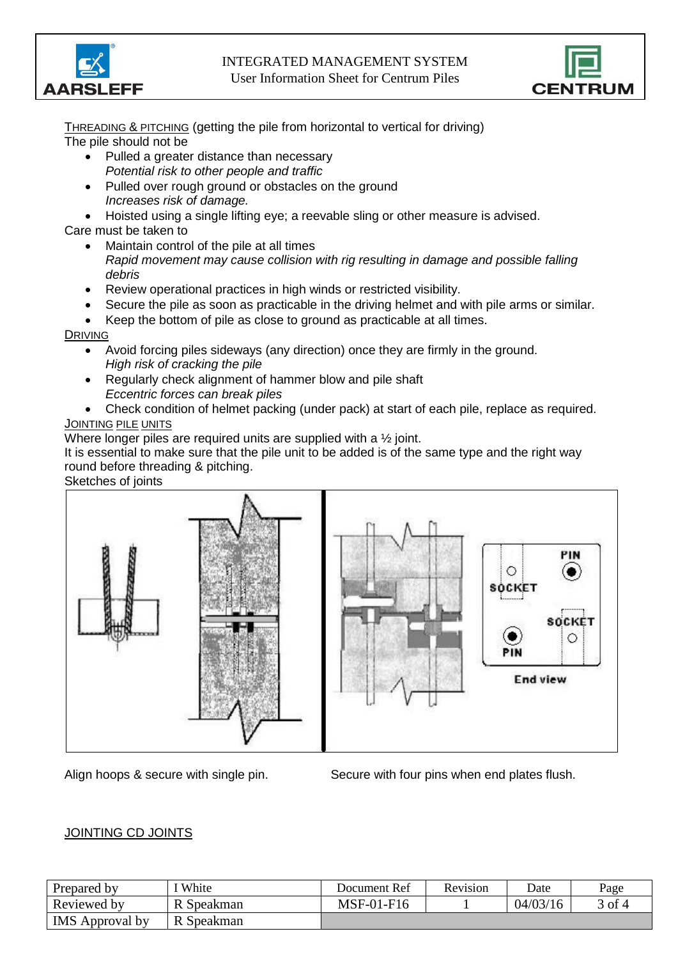

#### INTEGRATED MANAGEMENT SYSTEM User Information Sheet for Centrum Piles



THREADING & PITCHING (getting the pile from horizontal to vertical for driving) The pile should not be

- Pulled a greater distance than necessary *Potential risk to other people and traffic*
- Pulled over rough ground or obstacles on the ground *Increases risk of damage.*
- Hoisted using a single lifting eye; a reevable sling or other measure is advised.
- Care must be taken to
	- Maintain control of the pile at all times *Rapid movement may cause collision with rig resulting in damage and possible falling debris*
	- Review operational practices in high winds or restricted visibility.
	- Secure the pile as soon as practicable in the driving helmet and with pile arms or similar.

• Keep the bottom of pile as close to ground as practicable at all times.

## DRIVING

- Avoid forcing piles sideways (any direction) once they are firmly in the ground. *High risk of cracking the pile*
- Regularly check alignment of hammer blow and pile shaft *Eccentric forces can break piles*
- Check condition of helmet packing (under pack) at start of each pile, replace as required. JOINTING PILE UNITS

Where longer piles are required units are supplied with a 1/2 joint.

It is essential to make sure that the pile unit to be added is of the same type and the right way round before threading & pitching.

Sketches of joints



Align hoops & secure with single pin. Secure with four pins when end plates flush.

## JOINTING CD JOINTS

| Prepared by            | I White    | Document Ref | Revision | Date     | Page     |
|------------------------|------------|--------------|----------|----------|----------|
| Reviewed by            | R Speakman | MSF-01-F16   |          | 04/03/16 | $3$ of 4 |
| <b>IMS</b> Approval by | R Speakman |              |          |          |          |